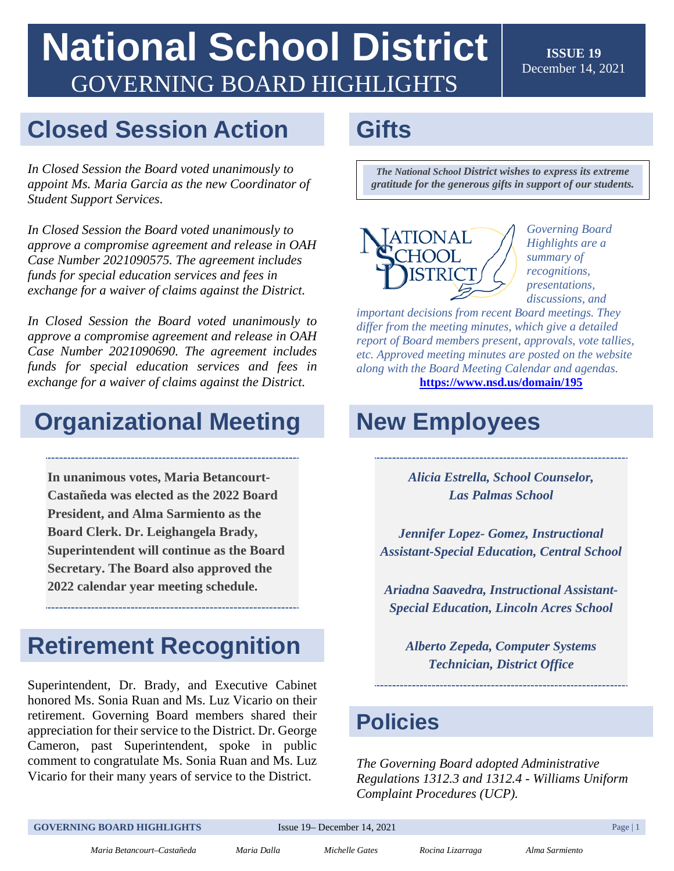## **National School District**  GOVERNING BOARD HIGHLIGHTS

**ISSUE 19**  December 14, 2021

#### **Closed Session Action**

*In Closed Session the Board voted unanimously to appoint Ms. Maria Garcia as the new Coordinator of Student Support Services.* 

*In Closed Session the Board voted unanimously to approve a compromise agreement and release in OAH Case Number 2021090575. The agreement includes funds for special education services and fees in exchange for a waiver of claims against the District.* 

*In Closed Session the Board voted unanimously to approve a compromise agreement and release in OAH Case Number 2021090690. The agreement includes funds for special education services and fees in exchange for a waiver of claims against the District.* 

### **Organizational Meeting**

**In unanimous votes, Maria Betancourt-Castañeda was elected as the 2022 Board President, and Alma Sarmiento as the Board Clerk. Dr. Leighangela Brady, Superintendent will continue as the Board Secretary. The Board also approved the 2022 calendar year meeting schedule.** 

### **Retirement Recognition**

Superintendent, Dr. Brady, and Executive Cabinet honored Ms. Sonia Ruan and Ms. Luz Vicario on their retirement. Governing Board members shared their appreciation for their service to the District. Dr. George Cameron, past Superintendent, spoke in public comment to congratulate Ms. Sonia Ruan and Ms. Luz Vicario for their many years of service to the District.

### **Gifts**

*The National School District wishes to express its extreme gratitude for the generous gifts in support of our students.* 



*Governing Board Highlights are a summary of recognitions, presentations, discussions, and* 

 *differ from the meeting minutes, which give a detailed important decisions from recent Board meetings. They report of Board members present, approvals, vote tallies, etc. Approved meeting minutes are posted on the website along with the Board Meeting Calendar and agendas.*  **<https://www.nsd.us/domain/195>**

### **New Employees**

**Las Palmas School** *Alicia Estrella, School Counselor,* 

*Las Palmas School Jennifer Lopez- Gomez, Instructional Assistant-Special Education, Central School* 

*Ariadna Saavedra, Instructional Assistant-*

 *Special Education, Lincoln Acres School Alberto Zepeda, Computer Systems Technician, District Office* 

#### **Policies**

*The Governing Board adopted Administrative Regulations 1312.3 and 1312.4 - Williams Uniform Complaint Procedures (UCP).* 

**GOVERNING BOARD HIGHLIGHTS** Issue 19– December 14, 2021 **Page 11**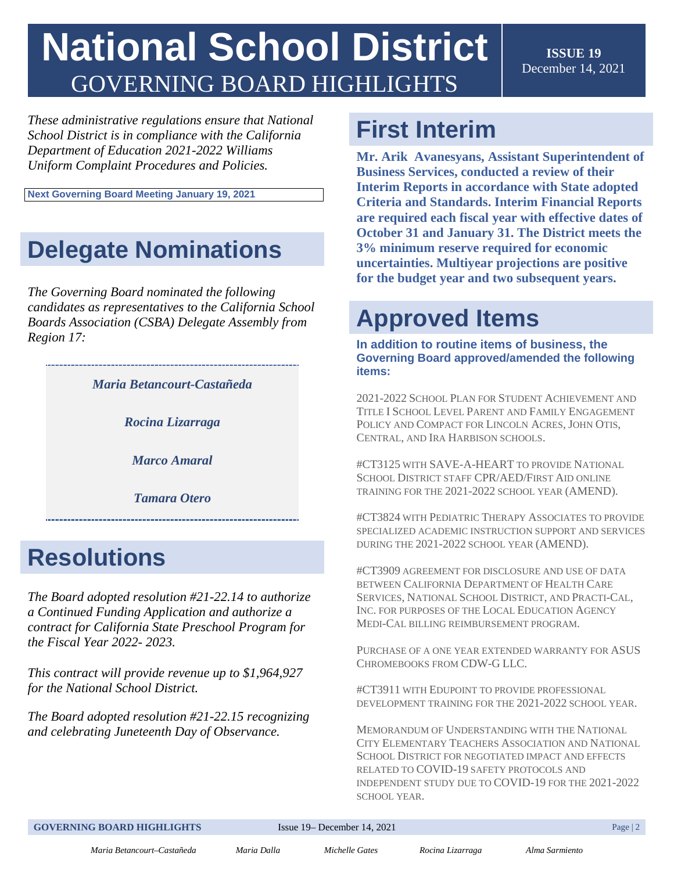# **National School District**  GOVERNING BOARD HIGHLIGHTS

**ISSUE 19**  December 14, 2021

*These administrative regulations ensure that National School District is in compliance with the California Department of Education 2021-2022 Williams Uniform Complaint Procedures and Policies.* 

**Next Governing Board Meeting January 19, 2021** 

## **Delegate Nominations**

*The Governing Board nominated the following candidates as representatives to the California School Boards Association (CSBA) Delegate Assembly from Region 17:* 

*Maria Betancourt-Castañeda* 

*Rocina Lizarraga* 

*Marco Amaral* 

*Marco Amaral Tamara Otero* 

### **Resolutions**

 *the Fiscal Year 2022- 2023. The Board adopted resolution #[21-22.14](https://21-22.14) to authorize a Continued Funding Application and authorize a contract for California State Preschool Program for* 

 *for the National School District. This contract will provide revenue up to \$1,964,927* 

*The Board adopted resolution #[21-22.15](https://21-22.15) recognizing and celebrating Juneteenth Day of Observance.* 

## **First Interim**

**Mr. Arik Avanesyans, Assistant Superintendent of Business Services, conducted a review of their Interim Reports in accordance with State adopted Criteria and Standards. Interim Financial Reports are required each fiscal year with effective dates of October 31 and January 31. The District meets the 3% minimum reserve required for economic uncertainties. Multiyear projections are positive for the budget year and two subsequent years.** 

## **Approved Items**

**In addition to routine items of business, the Governing Board approved/amended the following items:** 

 POLICY AND COMPACT FOR LINCOLN ACRES, JOHN OTIS, CENTRAL, AND IRA HARBISON SCHOOLS. 2021-2022 SCHOOL PLAN FOR STUDENT ACHIEVEMENT AND TITLE I SCHOOL LEVEL PARENT AND FAMILY ENGAGEMENT

 TRAINING FOR THE 2021-2022 SCHOOL YEAR (AMEND). #CT3125 WITH SAVE-A-HEART TO PROVIDE NATIONAL SCHOOL DISTRICT STAFF CPR/AED/FIRST AID ONLINE

 SPECIALIZED ACADEMIC INSTRUCTION SUPPORT AND SERVICES #CT3824 WITH PEDIATRIC THERAPY ASSOCIATES TO PROVIDE DURING THE 2021-2022 SCHOOL YEAR (AMEND).

 #CT3909 AGREEMENT FOR DISCLOSURE AND USE OF DATA SERVICES, NATIONAL SCHOOL DISTRICT, AND PRACTI-CAL, INC. FOR PURPOSES OF THE LOCAL EDUCATION AGENCY BETWEEN CALIFORNIA DEPARTMENT OF HEALTH CARE MEDI-CAL BILLING REIMBURSEMENT PROGRAM.

 PURCHASE OF A ONE YEAR EXTENDED WARRANTY FOR ASUS CHROMEBOOKS FROM CDW-G LLC.

#CT3911 WITH EDUPOINT TO PROVIDE PROFESSIONAL DEVELOPMENT TRAINING FOR THE 2021-2022 SCHOOL YEAR.

 MEMORANDUM OF UNDERSTANDING WITH THE NATIONAL SCHOOL DISTRICT FOR NEGOTIATED IMPACT AND EFFECTS INDEPENDENT STUDY DUE TO COVID-19 FOR THE 2021-2022 CITY ELEMENTARY TEACHERS ASSOCIATION AND NATIONAL RELATED TO COVID-19 SAFETY PROTOCOLS AND SCHOOL YEAR.